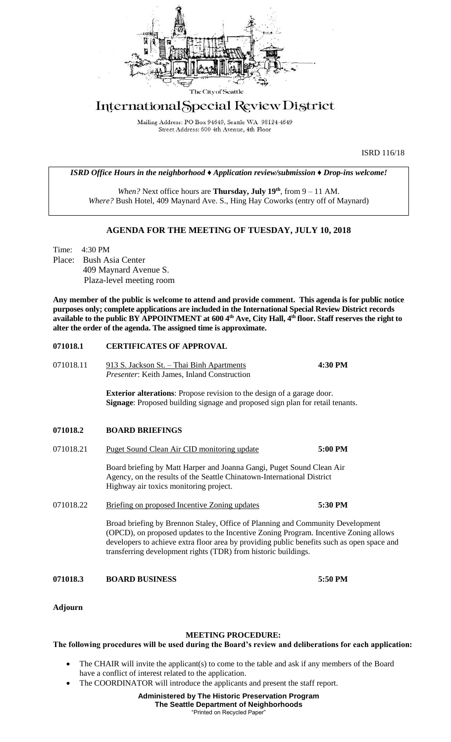

# International Special Review District

Mailing Address: PO Box 94649, Seattle WA 98124-4649 Street Address: 600 4th Avenue, 4th Floor

ISRD 116/18

*ISRD Office Hours in the neighborhood ♦ Application review/submission ♦ Drop-ins welcome!*

*When?* Next office hours are **Thursday, July 19th** , from 9 – 11 AM. *Where?* Bush Hotel, 409 Maynard Ave. S., Hing Hay Coworks (entry off of Maynard)

## **AGENDA FOR THE MEETING OF TUESDAY, JULY 10, 2018**

Time: 4:30 PM Place: Bush Asia Center 409 Maynard Avenue S. Plaza-level meeting room

**Any member of the public is welcome to attend and provide comment. This agenda is for public notice purposes only; complete applications are included in the International Special Review District records available to the public BY APPOINTMENT at 600 4th Ave, City Hall, 4th floor. Staff reserves the right to alter the order of the agenda. The assigned time is approximate.** 

## **071018.1 CERTIFICATES OF APPROVAL**

071018.11 913 S. Jackson St. – Thai Binh Apartments **4:30 PM** *Presenter*: Keith James, Inland Construction

> **Exterior alterations**: Propose revision to the design of a garage door. **Signage**: Proposed building signage and proposed sign plan for retail tenants.

## **071018.2 BOARD BRIEFINGS**

071018.21 Puget Sound Clean Air CID monitoring update **5:00 PM**

Board briefing by Matt Harper and Joanna Gangi, Puget Sound Clean Air Agency, on the results of the Seattle Chinatown-International District Highway air toxics monitoring project.

071018.22 Briefing on proposed Incentive Zoning updates **5:30 PM**

Broad briefing by Brennon Staley, Office of Planning and Community Development (OPCD), on proposed updates to the Incentive Zoning Program. Incentive Zoning allows developers to achieve extra floor area by providing public benefits such as open space and transferring development rights (TDR) from historic buildings.

#### **071018.3 BOARD BUSINESS 5:50 PM**

**Adjourn**

#### **MEETING PROCEDURE:**

#### **The following procedures will be used during the Board's review and deliberations for each application:**

- The CHAIR will invite the applicant(s) to come to the table and ask if any members of the Board have a conflict of interest related to the application.
- The COORDINATOR will introduce the applicants and present the staff report.

**Administered by The Historic Preservation Program The Seattle Department of Neighborhoods** "Printed on Recycled Paper"